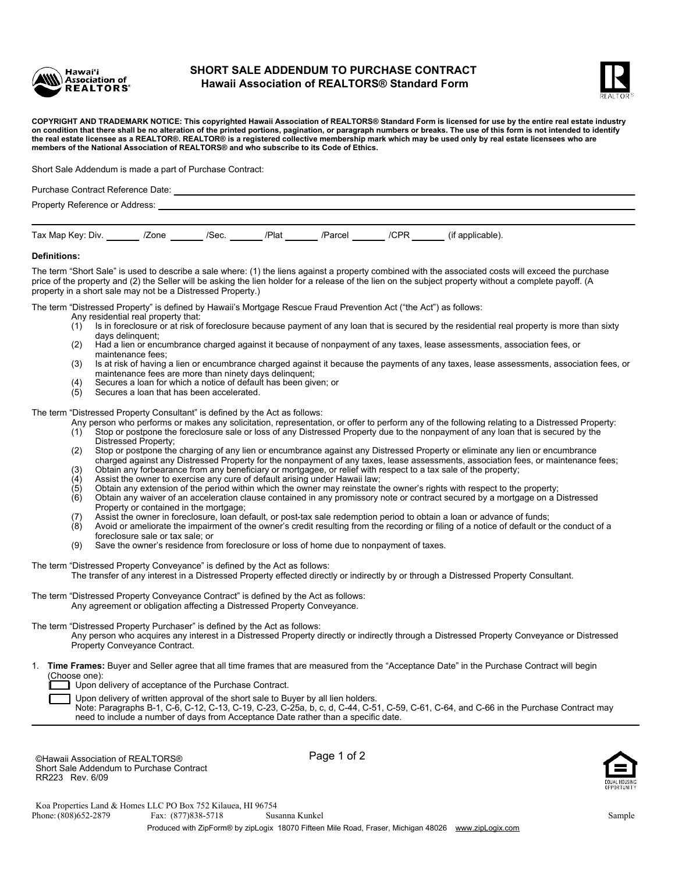

## **SHORT SALE ADDENDUM TO PURCHASE CONTRACT Hawaii Association of REALTORS® Standard Form**



**COPYRIGHT AND TRADEMARK NOTICE: This copyrighted Hawaii Association of REALTORS® Standard Form is licensed for use by the entire real estate industry on condition that there shall be no alteration of the printed portions, pagination, or paragraph numbers or breaks. The use of this form is not intended to identify the real estate licensee as a REALTOR®. REALTOR® is a registered collective membership mark which may be used only by real estate licensees who are members of the National Association of REALTORS® and who subscribe to its Code of Ethics.**

Short Sale Addendum is made a part of Purchase Contract:

| Purchase Contract Reference Date: |       |             |  |              |  |                  |  |  |  |  |  |
|-----------------------------------|-------|-------------|--|--------------|--|------------------|--|--|--|--|--|
| Property Reference or Address:    |       |             |  |              |  |                  |  |  |  |  |  |
|                                   |       |             |  |              |  |                  |  |  |  |  |  |
| Tax Map Key: Div.                 | /Zone | /Sec. /Plat |  | /Parcel /CPR |  | (if applicable). |  |  |  |  |  |
| <b>Definitions:</b>               |       |             |  |              |  |                  |  |  |  |  |  |

The term "Short Sale" is used to describe a sale where: (1) the liens against a property combined with the associated costs will exceed the purchase price of the property and (2) the Seller will be asking the lien holder for a release of the lien on the subject property without a complete payoff. (A property in a short sale may not be a Distressed Property.)

The term "Distressed Property" is defined by Hawaii's Mortgage Rescue Fraud Prevention Act ("the Act") as follows:

- Any residential real property that:<br>(1) Is in foreclosure or at risk of
	- Is in foreclosure or at risk of foreclosure because payment of any loan that is secured by the residential real property is more than sixty days delinquent;
	- (2) Had a lien or encumbrance charged against it because of nonpayment of any taxes, lease assessments, association fees, or maintenance fees;
	- (3) Is at risk of having a lien or encumbrance charged against it because the payments of any taxes, lease assessments, association fees, or maintenance fees are more than ninety days delinquent;
	- (4) Secures a loan for which a notice of default has been given; or
	- Secures a loan that has been accelerated.

The term "Distressed Property Consultant" is defined by the Act as follows:

- Any person who performs or makes any solicitation, representation, or offer to perform any of the following relating to a Distressed Property: (1) Stop or postpone the foreclosure sale or loss of any Distressed Property due to the nonpayment of any loan that is secured by the Distressed Property;
- (2) Stop or postpone the charging of any lien or encumbrance against any Distressed Property or eliminate any lien or encumbrance charged against any Distressed Property for the nonpayment of any taxes, lease assessments, association fees, or maintenance fees;
- (3) Obtain any forbearance from any beneficiary or mortgagee, or relief with respect to a tax sale of the property;<br>(4) Assist the owner to exercise any cure of default arising under Hawaii law;
- (4) Assist the owner to exercise any cure of default arising under Hawaii law;<br>(5) Obtain any extension of the period within which the owner may reinstate tl
- (5) Obtain any extension of the period within which the owner may reinstate the owner's rights with respect to the property;<br>(6) Obtain any waiver of an acceleration clause contained in any promissory note or contract secu
- (6) Obtain any waiver of an acceleration clause contained in any promissory note or contract secured by a mortgage on a Distressed Property or contained in the mortgage;
- (7) Assist the owner in foreclosure, loan default, or post-tax sale redemption period to obtain a loan or advance of funds;<br>(8) Avoid or ameliorate the impairment of the owner's credit resulting from the recording or filin
- Avoid or ameliorate the impairment of the owner's credit resulting from the recording or filing of a notice of default or the conduct of a foreclosure sale or tax sale; or
- (9) Save the owner's residence from foreclosure or loss of home due to nonpayment of taxes.
- The term "Distressed Property Conveyance" is defined by the Act as follows: The transfer of any interest in a Distressed Property effected directly or indirectly by or through a Distressed Property Consultant.
- The term "Distressed Property Conveyance Contract" is defined by the Act as follows: Any agreement or obligation affecting a Distressed Property Conveyance.
- The term "Distressed Property Purchaser" is defined by the Act as follows:
	- Any person who acquires any interest in a Distressed Property directly or indirectly through a Distressed Property Conveyance or Distressed Property Conveyance Contract.
- [ 1. **Time Frames:** Buyer and Seller agree that all time frames that are measured from the "Acceptance Date" in the Purchase Contract will begin (Choose one):

Upon delivery of acceptance of the Purchase Contract.

Upon delivery of written approval of the short sale to Buyer by all lien holders.

Note: Paragraphs B-1, C-6, C-12, C-13, C-19, C-23, C-25a, b, c, d, C-44, C-51, C-59, C-61, C-64, and C-66 in the Purchase Contract may need to include a number of days from Acceptance Date rather than a specific date.

©Hawaii Association of REALTORS® Page 1 of 2 Short Sale Addendum to Purchase Contract RR223 Rev. 6/09



Phone: (808)652-2879 Produced with ZipForm® by zipLogix 18070 Fifteen Mile Road, Fraser, Michigan 48026 www.zipLogix.com Koa Properties Land & Homes LLC PO Box 752 Kilauea, HI 96754 Fax: (877)838-5718 Susanna Kunkel Sample